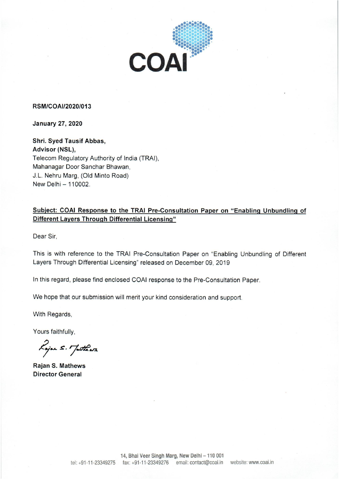

## RSM/COAI/2020/013

**January 27, 2020** 

Shri. Syed Tausif Abbas, Advisor (NSL), Telecom Regulatory Authority of India (TRAI), Mahanagar Door Sanchar Bhawan, J.L. Nehru Marg, (Old Minto Road) New Delhi - 110002.

## Subject: COAI Response to the TRAI Pre-Consultation Paper on "Enabling Unbundling of Different Layers Through Differential Licensing"

Dear Sir.

This is with reference to the TRAI Pre-Consultation Paper on "Enabling Unbundling of Different Layers Through Differential Licensing" released on December 09, 2019

In this regard, please find enclosed COAI response to the Pre-Consultation Paper.

We hope that our submission will merit your kind consideration and support.

With Regards,

Yours faithfully,

Lojan S. Jutheas

**Rajan S. Mathews Director General**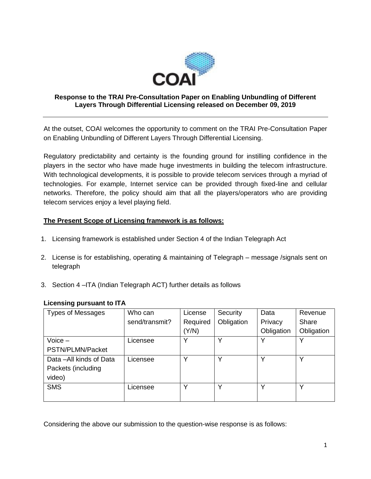

#### **Response to the TRAI Pre-Consultation Paper on Enabling Unbundling of Different Layers Through Differential Licensing released on December 09, 2019**

At the outset, COAI welcomes the opportunity to comment on the TRAI Pre-Consultation Paper on Enabling Unbundling of Different Layers Through Differential Licensing.

Regulatory predictability and certainty is the founding ground for instilling confidence in the players in the sector who have made huge investments in building the telecom infrastructure. With technological developments, it is possible to provide telecom services through a myriad of technologies. For example, Internet service can be provided through fixed-line and cellular networks. Therefore, the policy should aim that all the players/operators who are providing telecom services enjoy a level playing field.

## **The Present Scope of Licensing framework is as follows:**

- 1. Licensing framework is established under Section 4 of the Indian Telegraph Act
- 2. License is for establishing, operating & maintaining of Telegraph message /signals sent on telegraph
- 3. Section 4 –ITA (Indian Telegraph ACT) further details as follows

## **Licensing pursuant to ITA**

| <b>Types of Messages</b> | Who can        | License  | Security     | Data       | Revenue      |
|--------------------------|----------------|----------|--------------|------------|--------------|
|                          | send/transmit? | Required | Obligation   | Privacy    | Share        |
|                          |                | (Y/N)    |              | Obligation | Obligation   |
| $V^{\rm{Oice}}$ –        | Licensee       | Υ        | $\checkmark$ | Υ          | v            |
| PSTN/PLMN/Packet         |                |          |              |            |              |
| Data - All kinds of Data | Licensee       | ν        | $\checkmark$ | ٧          | $\checkmark$ |
| Packets (including       |                |          |              |            |              |
| video)                   |                |          |              |            |              |
| <b>SMS</b>               | Licensee       | v        |              | ∨          | $\check{ }$  |
|                          |                |          |              |            |              |

Considering the above our submission to the question-wise response is as follows: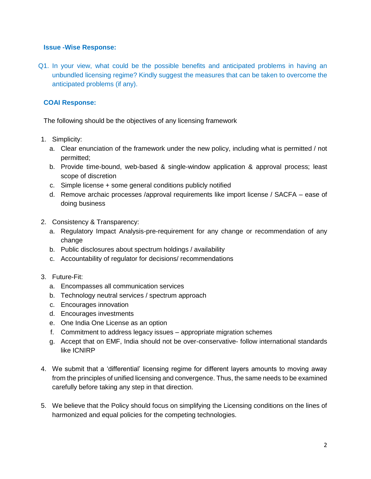#### **Issue -Wise Response:**

Q1. In your view, what could be the possible benefits and anticipated problems in having an unbundled licensing regime? Kindly suggest the measures that can be taken to overcome the anticipated problems (if any).

## **COAI Response:**

The following should be the objectives of any licensing framework

- 1. Simplicity:
	- a. Clear enunciation of the framework under the new policy, including what is permitted / not permitted;
	- b. Provide time-bound, web-based & single-window application & approval process; least scope of discretion
	- c. Simple license + some general conditions publicly notified
	- d. Remove archaic processes /approval requirements like import license / SACFA ease of doing business
- 2. Consistency & Transparency:
	- a. Regulatory Impact Analysis-pre-requirement for any change or recommendation of any change
	- b. Public disclosures about spectrum holdings / availability
	- c. Accountability of regulator for decisions/ recommendations
- 3. Future-Fit:
	- a. Encompasses all communication services
	- b. Technology neutral services / spectrum approach
	- c. Encourages innovation
	- d. Encourages investments
	- e. One India One License as an option
	- f. Commitment to address legacy issues appropriate migration schemes
	- g. Accept that on EMF, India should not be over-conservative- follow international standards like ICNIRP
- 4. We submit that a 'differential' licensing regime for different layers amounts to moving away from the principles of unified licensing and convergence. Thus, the same needs to be examined carefully before taking any step in that direction.
- 5. We believe that the Policy should focus on simplifying the Licensing conditions on the lines of harmonized and equal policies for the competing technologies.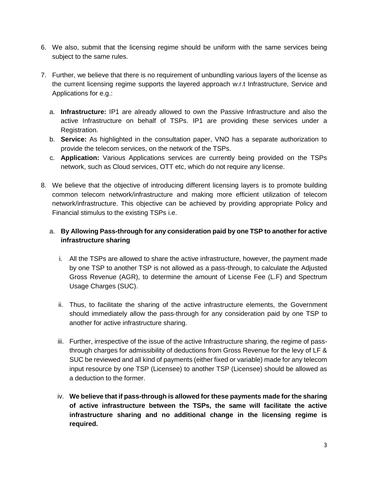- 6. We also, submit that the licensing regime should be uniform with the same services being subject to the same rules.
- 7. Further, we believe that there is no requirement of unbundling various layers of the license as the current licensing regime supports the layered approach w.r.t Infrastructure, Service and Applications for e.g.:
	- a. **Infrastructure:** IP1 are already allowed to own the Passive Infrastructure and also the active Infrastructure on behalf of TSPs. IP1 are providing these services under a Registration.
	- b. **Service:** As highlighted in the consultation paper, VNO has a separate authorization to provide the telecom services, on the network of the TSPs.
	- c. **Application:** Various Applications services are currently being provided on the TSPs network, such as Cloud services, OTT etc, which do not require any license.
- 8. We believe that the objective of introducing different licensing layers is to promote building common telecom network/infrastructure and making more efficient utilization of telecom network/infrastructure. This objective can be achieved by providing appropriate Policy and Financial stimulus to the existing TSPs i.e.

# a. **By Allowing Pass-through for any consideration paid by one TSP to another for active infrastructure sharing**

- i. All the TSPs are allowed to share the active infrastructure, however, the payment made by one TSP to another TSP is not allowed as a pass-through, to calculate the Adjusted Gross Revenue (AGR), to determine the amount of License Fee (L.F) and Spectrum Usage Charges (SUC).
- ii. Thus, to facilitate the sharing of the active infrastructure elements, the Government should immediately allow the pass-through for any consideration paid by one TSP to another for active infrastructure sharing.
- iii. Further, irrespective of the issue of the active Infrastructure sharing, the regime of passthrough charges for admissibility of deductions from Gross Revenue for the levy of LF & SUC be reviewed and all kind of payments (either fixed or variable) made for any telecom input resource by one TSP (Licensee) to another TSP (Licensee) should be allowed as a deduction to the former.
- iv. **We believe that if pass-through is allowed for these payments made for the sharing of active infrastructure between the TSPs, the same will facilitate the active infrastructure sharing and no additional change in the licensing regime is required.**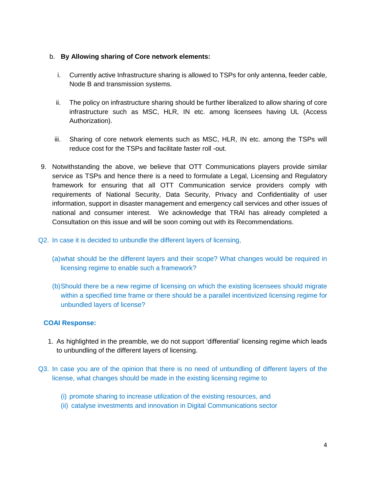## b. **By Allowing sharing of Core network elements:**

- i. Currently active Infrastructure sharing is allowed to TSPs for only antenna, feeder cable, Node B and transmission systems.
- ii. The policy on infrastructure sharing should be further liberalized to allow sharing of core infrastructure such as MSC, HLR, IN etc. among licensees having UL (Access Authorization).
- iii. Sharing of core network elements such as MSC, HLR, IN etc. among the TSPs will reduce cost for the TSPs and facilitate faster roll -out.
- 9. Notwithstanding the above, we believe that OTT Communications players provide similar service as TSPs and hence there is a need to formulate a Legal, Licensing and Regulatory framework for ensuring that all OTT Communication service providers comply with requirements of National Security, Data Security, Privacy and Confidentiality of user information, support in disaster management and emergency call services and other issues of national and consumer interest.We acknowledge that TRAI has already completed a Consultation on this issue and will be soon coming out with its Recommendations.
- Q2. In case it is decided to unbundle the different layers of licensing,
	- (a)what should be the different layers and their scope? What changes would be required in licensing regime to enable such a framework?
	- (b)Should there be a new regime of licensing on which the existing licensees should migrate within a specified time frame or there should be a parallel incentivized licensing regime for unbundled layers of license?

## **COAI Response:**

- 1. As highlighted in the preamble, we do not support 'differential' licensing regime which leads to unbundling of the different layers of licensing.
- Q3. In case you are of the opinion that there is no need of unbundling of different layers of the license, what changes should be made in the existing licensing regime to
	- (i) promote sharing to increase utilization of the existing resources, and
	- (ii) catalyse investments and innovation in Digital Communications sector